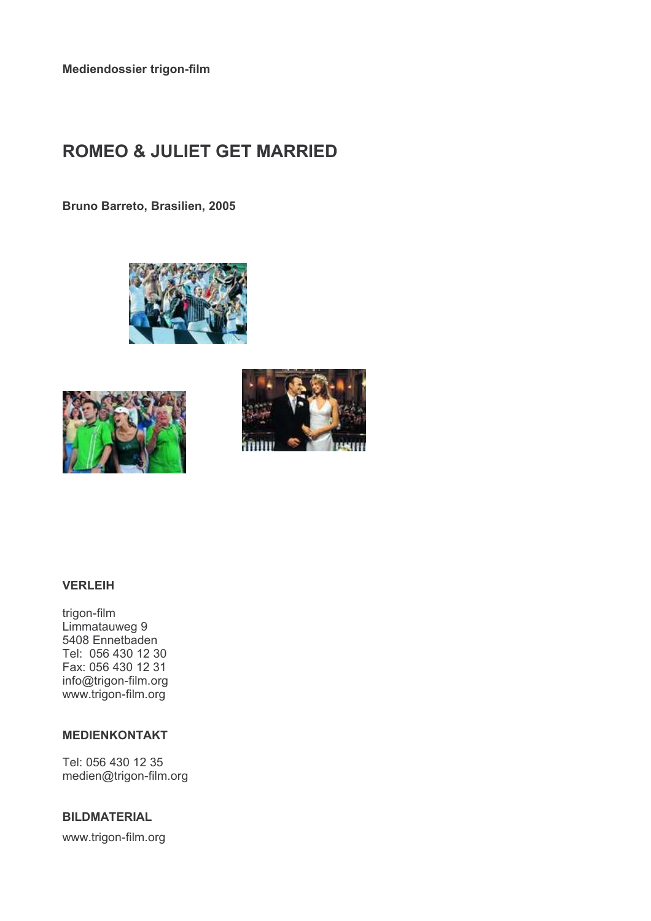Mediendossier trigon-film

# **ROMEO & JULIET GET MARRIED**

Bruno Barreto, Brasilien, 2005







## **VERLEIH**

trigon-film Limmatauweg 9 5408 Ennetbaden Tel: 056 430 12 30 Fax: 056 430 12 31 info@trigon-film.org www.trigon-film.org

## **MEDIENKONTAKT**

Tel: 056 430 12 35 medien@trigon-film.org

## **BILDMATERIAL**

www.trigon-film.org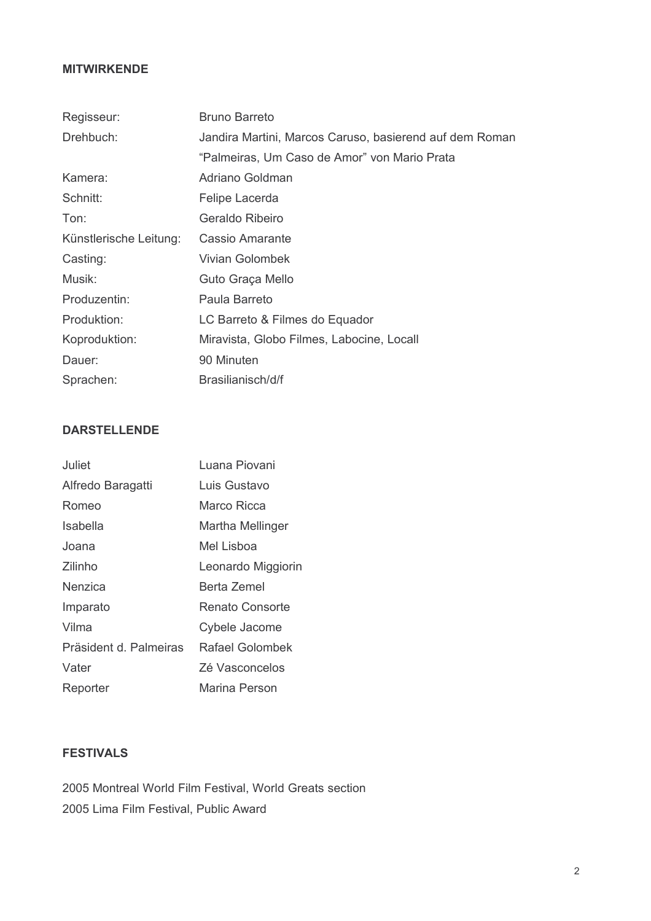## **MITWIRKENDE**

| Regisseur:             | <b>Bruno Barreto</b>                                    |
|------------------------|---------------------------------------------------------|
| Drehbuch:              | Jandira Martini, Marcos Caruso, basierend auf dem Roman |
|                        | "Palmeiras, Um Caso de Amor" von Mario Prata            |
| Kamera:                | Adriano Goldman                                         |
| Schnitt:               | Felipe Lacerda                                          |
| Ton:                   | Geraldo Ribeiro                                         |
| Künstlerische Leitung: | Cassio Amarante                                         |
| Casting:               | Vivian Golombek                                         |
| Musik:                 | Guto Graça Mello                                        |
| Produzentin:           | Paula Barreto                                           |
| Produktion:            | LC Barreto & Filmes do Equador                          |
| Koproduktion:          | Miravista, Globo Filmes, Labocine, Locall               |
| Dauer:                 | 90 Minuten                                              |
| Sprachen:              | Brasilianisch/d/f                                       |

## **DARSTELLENDE**

| Juliet                 | Luana Piovani      |
|------------------------|--------------------|
| Alfredo Baragatti      | Luis Gustavo       |
| Romeo                  | Marco Ricca        |
| Isabella               | Martha Mellinger   |
| Joana                  | Mel Lisboa         |
| Zilinho                | Leonardo Miggiorin |
| Nenzica                | Berta Zemel        |
| Imparato               | Renato Consorte    |
| Vilma                  | Cybele Jacome      |
| Präsident d. Palmeiras | Rafael Golombek    |
| Vater                  | Zé Vasconcelos     |
| Reporter               | Marina Person      |

## **FESTIVALS**

2005 Montreal World Film Festival, World Greats section 2005 Lima Film Festival, Public Award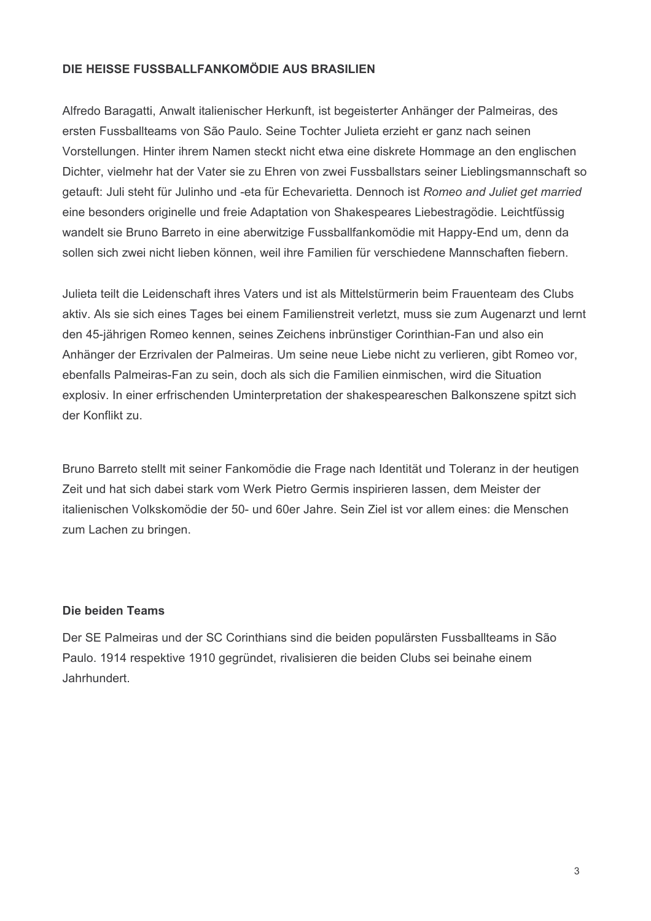## DIE HEISSE FUSSBALL FANKOMÖDIE AUS BRASILIEN

Alfredo Baragatti, Anwalt italienischer Herkunft, ist begeisterter Anhänger der Palmeiras, des ersten Fussballteams von São Paulo. Seine Tochter Julieta erzieht er ganz nach seinen Vorstellungen. Hinter ihrem Namen steckt nicht etwa eine diskrete Hommage an den englischen Dichter, vielmehr hat der Vater sie zu Ehren von zwei Fussballstars seiner Lieblingsmannschaft so getauft: Juli steht für Julinho und -eta für Echevarietta. Dennoch ist Romeo and Juliet get married eine besonders originelle und freie Adaptation von Shakespeares Liebestragödie. Leichtfüssig wandelt sie Bruno Barreto in eine aberwitzige Fussballfankomödie mit Happy-End um, denn da sollen sich zwei nicht lieben können, weil ihre Familien für verschiedene Mannschaften fiebern.

Julieta teilt die Leidenschaft ihres Vaters und ist als Mittelstürmerin beim Frauenteam des Clubs aktiv. Als sie sich eines Tages bei einem Familienstreit verletzt, muss sie zum Augenarzt und lernt den 45-jährigen Romeo kennen, seines Zeichens inbrünstiger Corinthian-Fan und also ein Anhänger der Erzrivalen der Palmeiras. Um seine neue Liebe nicht zu verlieren, gibt Romeo vor, ebenfalls Palmeiras-Fan zu sein, doch als sich die Familien einmischen, wird die Situation explosiv. In einer erfrischenden Uminterpretation der shakespeareschen Balkonszene spitzt sich der Konflikt zu.

Bruno Barreto stellt mit seiner Fankomödie die Frage nach Identität und Toleranz in der heutigen Zeit und hat sich dabei stark vom Werk Pietro Germis inspirieren lassen, dem Meister der italienischen Volkskomödie der 50- und 60er Jahre. Sein Ziel ist vor allem eines: die Menschen zum Lachen zu bringen.

## **Die beiden Teams**

Der SE Palmeiras und der SC Corinthians sind die beiden populärsten Fussballteams in São Paulo. 1914 respektive 1910 gegründet, rivalisieren die beiden Clubs sei beinahe einem Jahrhundert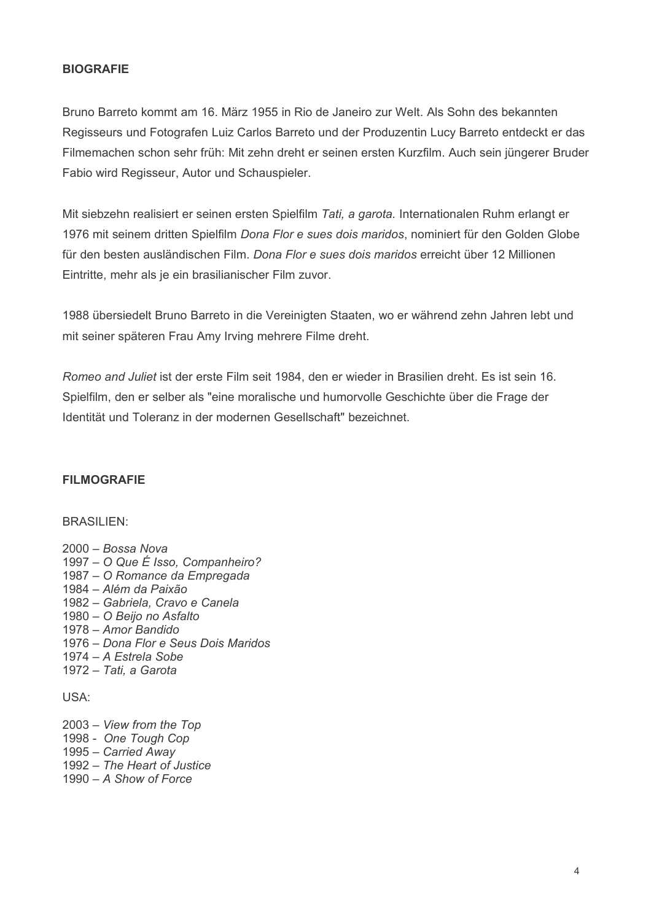## **RIOGRAFIE**

Bruno Barreto kommt am 16. März 1955 in Rio de Janeiro zur Welt. Als Sohn des bekannten Regisseurs und Fotografen Luiz Carlos Barreto und der Produzentin Lucy Barreto entdeckt er das Filmemachen schon sehr früh: Mit zehn dreht er seinen ersten Kurzfilm. Auch sein jüngerer Bruder Fabio wird Regisseur, Autor und Schauspieler.

Mit siebzehn realisiert er seinen ersten Spielfilm Tati, a garota. Internationalen Ruhm erlangt er 1976 mit seinem dritten Spielfilm Dona Flor e sues dois maridos, nominiert für den Golden Globe für den besten ausländischen Film. Dona Flor e sues dois maridos erreicht über 12 Millionen Eintritte, mehr als je ein brasilianischer Film zuvor.

1988 übersiedelt Bruno Barreto in die Vereinigten Staaten, wo er während zehn Jahren lebt und mit seiner späteren Frau Amy Irving mehrere Filme dreht.

Romeo and Juliet ist der erste Film seit 1984, den er wieder in Brasilien dreht. Es ist sein 16. Spielfilm, den er selber als "eine moralische und humorvolle Geschichte über die Frage der Identität und Toleranz in der modernen Gesellschaft" bezeichnet

#### **FILMOGRAFIE**

## **BRASILIEN:**

2000 - Bossa Nova 1997 – O Que É Isso, Companheiro? 1987 – O Romance da Empregada 1984 – Além da Paixão 1982 - Gabriela, Cravo e Canela 1980 - O Beijo no Asfalto 1978 - Amor Bandido 1976 – Dona Flor e Seus Dois Maridos 1974 – A Estrela Sobe 1972 - Tati, a Garota

USA:

 $2003 -$  View from the Top 1998 - One Tough Cop 1995 - Carried Away 1992 - The Heart of Justice 1990 - A Show of Force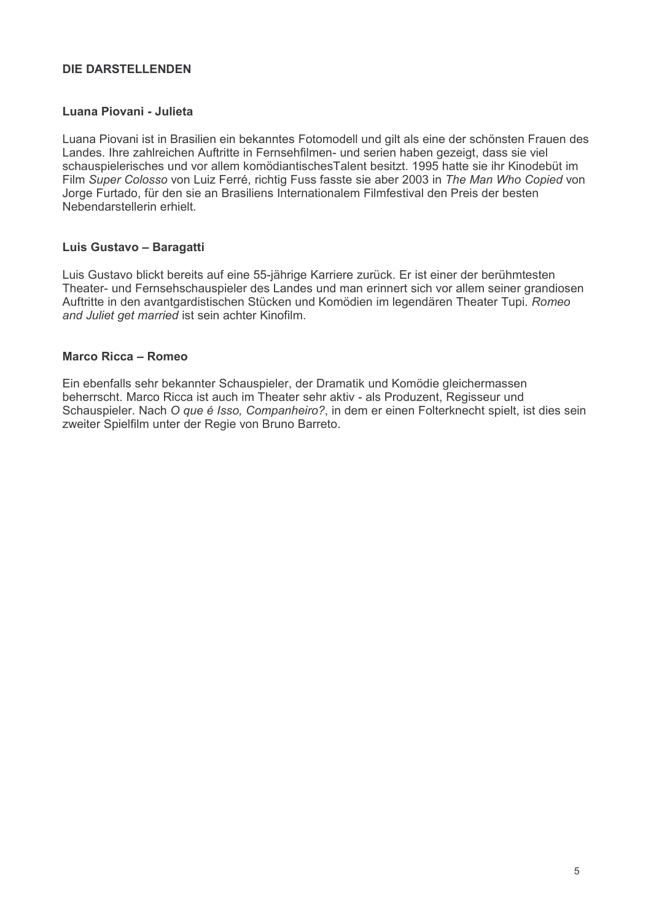## DIE DARSTELL ENDEN

### Luana Piovani - Julieta

Luana Piovani ist in Brasilien ein bekanntes Fotomodell und gilt als eine der schönsten Frauen des Landes. Ihre zahlreichen Auftritte in Fernsehfilmen- und serien haben gezeigt, dass sie viel schauspielerisches und vor allem komödiantisches Talent besitzt. 1995 hatte sie ihr Kinodebüt im Film Super Colosso von Luiz Ferré, richtig Fuss fasste sie aber 2003 in The Man Who Copied von Jorge Furtado, für den sie an Brasiliens Internationalem Filmfestival den Preis der besten Nebendarstellerin erhielt.

### Luis Gustavo - Baragatti

Luis Gustavo blickt bereits auf eine 55-jährige Karriere zurück. Er ist einer der berühmtesten Theater- und Fernsehschauspieler des Landes und man erinnert sich vor allem seiner grandiosen Auftritte in den avantgardistischen Stücken und Komödien im legendären Theater Tupi. Romeo and Juliet get married ist sein achter Kinofilm.

### Marco Ricca - Romeo

Ein ebenfalls sehr bekannter Schauspieler, der Dramatik und Komödie gleichermassen beherrscht. Marco Ricca ist auch im Theater sehr aktiv - als Produzent, Regisseur und Schauspieler. Nach O que é Isso, Companheiro?, in dem er einen Folterknecht spielt, ist dies sein zweiter Spielfilm unter der Regie von Bruno Barreto.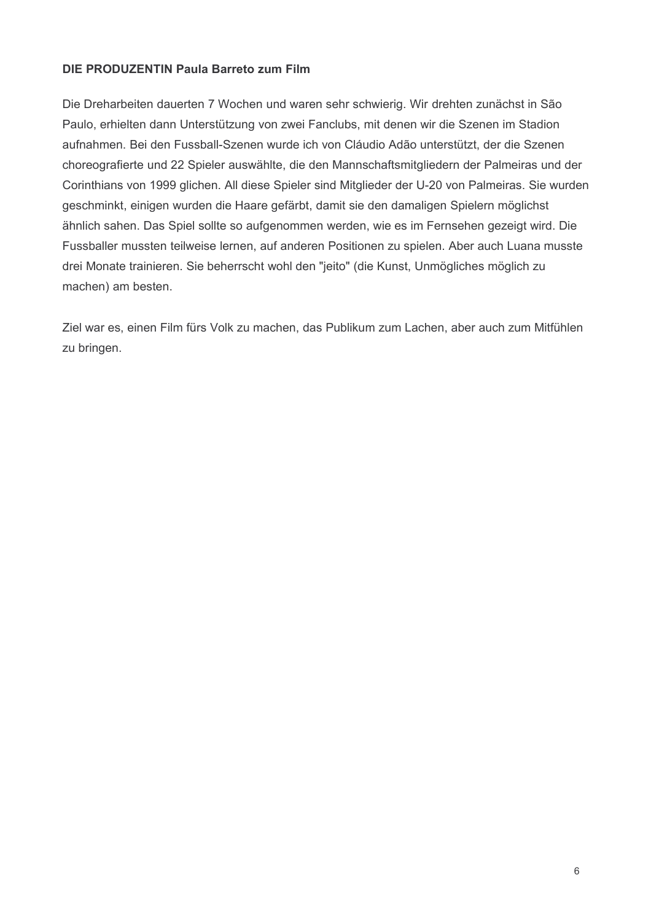## DIE PRODUZENTIN Paula Barreto zum Film

Die Dreharbeiten dauerten 7 Wochen und waren sehr schwierig. Wir drehten zunächst in São Paulo, erhielten dann Unterstützung von zwei Fanclubs, mit denen wir die Szenen im Stadion aufnahmen. Bei den Fussball-Szenen wurde ich von Cláudio Adão unterstützt, der die Szenen choreografierte und 22 Spieler auswählte, die den Mannschaftsmitgliedern der Palmeiras und der Corinthians von 1999 glichen. All diese Spieler sind Mitglieder der U-20 von Palmeiras. Sie wurden geschminkt, einigen wurden die Haare gefärbt, damit sie den damaligen Spielern möglichst ähnlich sahen. Das Spiel sollte so aufgenommen werden, wie es im Fernsehen gezeigt wird. Die Fussballer mussten teilweise lernen, auf anderen Positionen zu spielen. Aber auch Luana musste drei Monate trainieren. Sie beherrscht wohl den "jeito" (die Kunst, Unmögliches möglich zu machen) am besten.

Ziel war es, einen Film fürs Volk zu machen, das Publikum zum Lachen, aber auch zum Mitfühlen zu bringen.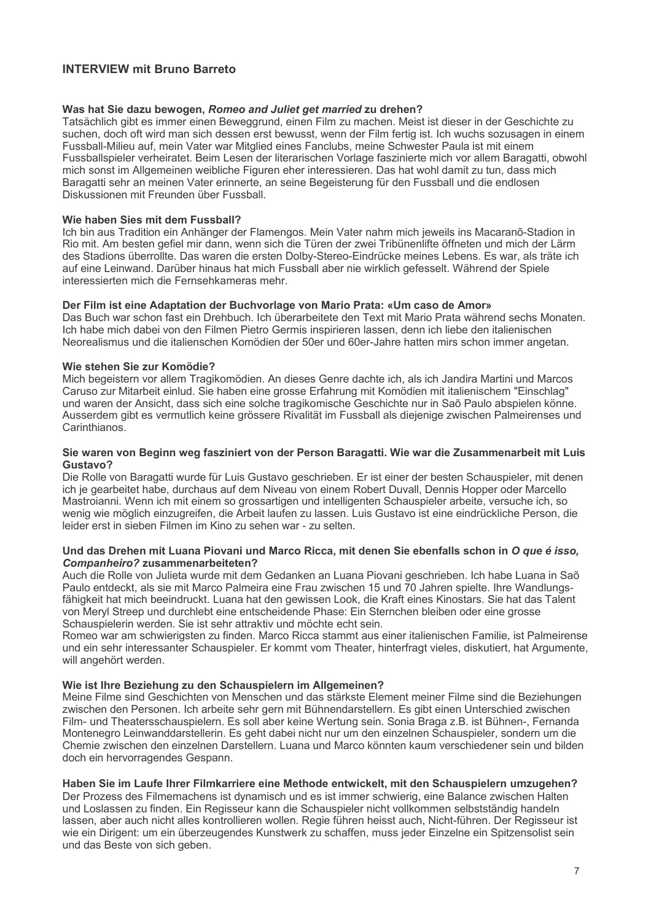## **INTERVIEW mit Bruno Barreto**

#### Was hat Sie dazu bewogen, Romeo and Juliet get married zu drehen?

Tatsächlich gibt es immer einen Beweggrund, einen Film zu machen. Meist ist dieser in der Geschichte zu suchen, doch oft wird man sich dessen erst bewusst, wenn der Film fertig ist. Ich wuchs sozusagen in einem Fussball-Milieu auf, mein Vater war Mitglied eines Fanclubs, meine Schwester Paula ist mit einem Fussballspieler verheiratet. Beim Lesen der literarischen Vorlage faszinierte mich vor allem Baragatti, obwohl mich sonst im Allgemeinen weibliche Figuren eher interessieren. Das hat wohl damit zu tun, dass mich Baragatti sehr an meinen Vater erinnerte, an seine Begeisterung für den Fussball und die endlosen Diskussionen mit Freunden über Fussball.

#### Wie haben Sies mit dem Fussball?

Ich bin aus Tradition ein Anhänger der Flamengos. Mein Vater nahm mich jeweils ins Macaranõ-Stadion in Rio mit. Am besten gefiel mir dann, wenn sich die Türen der zwei Tribünenlifte öffneten und mich der Lärm des Stadions überrollte. Das waren die ersten Dolby-Stereo-Eindrücke meines Lebens. Es war, als träte ich auf eine Leinwand. Darüber hinaus hat mich Fussball aber nie wirklich gefesselt. Während der Spiele interessierten mich die Fernsehkameras mehr.

#### Der Film ist eine Adaptation der Buchvorlage von Mario Prata: «Um caso de Amor»

Das Buch war schon fast ein Drehbuch. Ich überarbeitete den Text mit Mario Prata während sechs Monaten. Ich habe mich dabei von den Filmen Pietro Germis inspirieren lassen, denn ich liebe den italienischen Neorealismus und die italienschen Komödien der 50er und 60er-Jahre hatten mirs schon immer angetan.

#### Wie stehen Sie zur Komödie?

Mich begeistern vor allem Tragikomödien. An dieses Genre dachte ich, als ich Jandira Martini und Marcos Caruso zur Mitarbeit einlud. Sie haben eine grosse Erfahrung mit Komödien mit italienischem "Einschlag" und waren der Ansicht, dass sich eine solche tragikomische Geschichte nur in Saõ Paulo abspielen könne. Ausserdem gibt es vermutlich keine grössere Rivalität im Fussball als diejenige zwischen Palmeirenses und Carinthianos

#### Sie waren von Beginn weg fasziniert von der Person Baragatti. Wie war die Zusammenarbeit mit Luis Guetavo?

Die Rolle von Baragatti wurde für Luis Gustavo geschrieben. Er ist einer der besten Schauspieler, mit denen ich ie gearbeitet habe, durchaus auf dem Niveau von einem Robert Duvall. Dennis Hopper oder Marcello Mastroianni. Wenn ich mit einem so grossartigen und intelligenten Schauspieler arbeite, versuche ich, so wenig wie möglich einzugreifen, die Arbeit laufen zu lassen. Luis Gustavo ist eine eindrückliche Person, die leider erst in sieben Filmen im Kino zu sehen war - zu selten.

#### Und das Drehen mit Luana Piovani und Marco Ricca, mit denen Sie ebenfalls schon in O que é isso. Companheiro? zusammenarbeiteten?

Auch die Rolle von Julieta wurde mit dem Gedanken an Luana Piovani geschrieben. Ich habe Luana in Saõ Paulo entdeckt, als sie mit Marco Palmeira eine Frau zwischen 15 und 70 Jahren spielte. Ihre Wandlungsfähigkeit hat mich beeindruckt. Luana hat den gewissen Look, die Kraft eines Kinostars. Sie hat das Talent von Meryl Streep und durchlebt eine entscheidende Phase: Ein Sternchen bleiben oder eine grosse Schauspielerin werden. Sie ist sehr attraktiv und möchte echt sein.

Romeo war am schwierigsten zu finden. Marco Ricca stammt aus einer italienischen Familie, ist Palmeirense und ein sehr interessanter Schauspieler. Er kommt vom Theater, hinterfragt vieles, diskutiert, hat Argumente, will angehört werden.

#### Wie ist Ihre Beziehung zu den Schauspielern im Allgemeinen?

Meine Filme sind Geschichten von Menschen und das stärkste Element meiner Filme sind die Beziehungen zwischen den Personen. Ich arbeite sehr gern mit Bühnendarstellern. Es gibt einen Unterschied zwischen Film- und Theatersschauspielern. Es soll aber keine Wertung sein. Sonia Braga z.B. ist Bühnen-, Fernanda Montenegro Leinwanddarstellerin. Es geht dabei nicht nur um den einzelnen Schauspieler, sondern um die Chemie zwischen den einzelnen Darstellern. Luana und Marco könnten kaum verschiedener sein und bilden doch ein hervorragendes Gespann.

#### Haben Sie im Laufe Ihrer Filmkarriere eine Methode entwickelt, mit den Schauspielern umzugehen?

Der Prozess des Filmemachens ist dynamisch und es ist immer schwierig, eine Balance zwischen Halten und Loslassen zu finden. Ein Regisseur kann die Schauspieler nicht vollkommen selbstständig handeln lassen, aber auch nicht alles kontrollieren wollen. Regie führen heisst auch. Nicht-führen. Der Regisseur ist wie ein Dirigent: um ein überzeugendes Kunstwerk zu schaffen, muss jeder Einzelne ein Spitzensolist sein und das Beste von sich geben.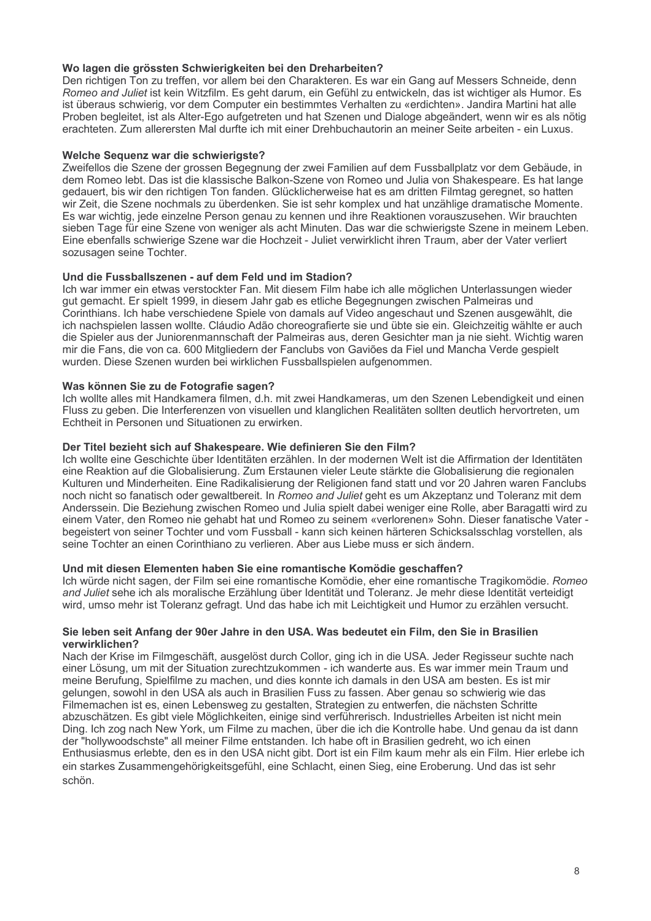#### Wo lagen die grössten Schwierigkeiten bei den Dreharbeiten?

Den richtigen Ton zu treffen, vor allem bei den Charakteren. Es war ein Gang auf Messers Schneide, denn Romeo and Juliet ist kein Witzfilm. Es geht darum, ein Gefühl zu entwickeln, das ist wichtiger als Humor. Es ist überaus schwierig, vor dem Computer ein bestimmtes Verhalten zu «erdichten». Jandira Martini hat alle Proben begleitet, ist als Alter-Ego aufgetreten und hat Szenen und Dialoge abgeändert, wenn wir es als nötig erachteten. Zum allerersten Mal durfte ich mit einer Drehbuchautorin an meiner Seite arbeiten - ein Luxus.

#### Welche Sequenz war die schwierigste?

Zweifellos die Szene der grossen Begegnung der zwei Familien auf dem Fussballplatz vor dem Gebäude, in dem Romeo lebt. Das ist die klassische Balkon-Szene von Romeo und Julia von Shakespeare. Es hat lange gedauert, bis wir den richtigen Ton fanden. Glücklicherweise hat es am dritten Filmtag geregnet, so hatten wir Zeit, die Szene nochmals zu überdenken. Sie ist sehr komplex und hat unzählige dramatische Momente. Es war wichtig, jede einzelne Person genau zu kennen und ihre Reaktionen vorauszusehen. Wir brauchten sieben Tage für eine Szene von weniger als acht Minuten. Das war die schwierigste Szene in meinem Leben. Eine ebenfalls schwierige Szene war die Hochzeit - Juliet verwirklicht ihren Traum, aber der Vater verliert sozusagen seine Tochter.

#### Und die Fussballszenen - auf dem Feld und im Stadion?

Ich war immer ein etwas verstockter Fan. Mit diesem Film habe ich alle möglichen Unterlassungen wieder gut gemacht. Er spielt 1999, in diesem Jahr gab es etliche Begegnungen zwischen Palmeiras und Corinthians, Ich habe verschiedene Spiele von damals auf Video angeschaut und Szenen ausgewählt, die ich nachspielen lassen wollte. Cláudio Adão choreografierte sie und übte sie ein. Gleichzeitig wählte er auch die Spieler aus der Juniorenmannschaft der Palmeiras aus, deren Gesichter man ja nie sieht. Wichtig waren mir die Fans, die von ca. 600 Mitgliedern der Fanclubs von Gaviões da Fiel und Mancha Verde gespielt wurden. Diese Szenen wurden bei wirklichen Fussballspielen aufgenommen.

#### Was können Sie zu de Fotografie sagen?

Ich wollte alles mit Handkamera filmen, d.h. mit zwei Handkameras, um den Szenen Lebendigkeit und einen Fluss zu geben. Die Interferenzen von visuellen und klanglichen Realitäten sollten deutlich hervortreten, um Echtheit in Personen und Situationen zu erwirken.

#### Der Titel bezieht sich auf Shakespeare. Wie definieren Sie den Film?

Ich wollte eine Geschichte über Identitäten erzählen. In der modernen Welt ist die Affirmation der Identitäten eine Reaktion auf die Globalisierung. Zum Erstaunen vieler Leute stärkte die Globalisierung die regionalen Kulturen und Minderheiten. Eine Radikalisierung der Religionen fand statt und vor 20 Jahren waren Fanclubs noch nicht so fanatisch oder gewaltbereit. In Romeo and Juliet geht es um Akzeptanz und Toleranz mit dem Anderssein. Die Beziehung zwischen Romeo und Julia spielt dabei weniger eine Rolle, aber Baragatti wird zu einem Vater, den Romeo nie gehabt hat und Romeo zu seinem «verlorenen» Sohn. Dieser fanatische Vater begeistert von seiner Tochter und vom Fussball - kann sich keinen härteren Schicksalsschlag vorstellen, als seine Tochter an einen Corinthiano zu verlieren. Aber aus Liebe muss er sich ändern.

#### Und mit diesen Elementen haben Sie eine romantische Komödie geschaffen?

Ich würde nicht sagen, der Film sei eine romantische Komödie, eher eine romantische Tragikomödie, Romeo and Juliet sehe ich als moralische Erzählung über Identität und Toleranz. Je mehr diese Identität verteidigt wird, umso mehr ist Toleranz gefragt. Und das habe ich mit Leichtigkeit und Humor zu erzählen versucht.

#### Sie leben seit Anfang der 90er Jahre in den USA. Was bedeutet ein Film, den Sie in Brasilien verwirklichen?

Nach der Krise im Filmgeschäft, ausgelöst durch Collor, ging ich in die USA. Jeder Regisseur suchte nach einer Lösung, um mit der Situation zurechtzukommen - ich wanderte aus. Es war immer mein Traum und meine Berufung. Spielfilme zu machen, und dies konnte ich damals in den USA am besten. Es ist mir gelungen, sowohl in den USA als auch in Brasilien Fuss zu fassen. Aber genau so schwierig wie das Filmemachen ist es, einen Lebensweg zu gestalten. Strategien zu entwerfen, die nächsten Schritte abzuschätzen. Es gibt viele Möglichkeiten, einige sind verführerisch. Industrielles Arbeiten ist nicht mein Ding. Ich zog nach New York, um Filme zu machen, über die ich die Kontrolle habe. Und genau da ist dann der "hollywoodschste" all meiner Filme entstanden. Ich habe oft in Brasilien gedreht, wo ich einen Enthusiasmus erlebte, den es in den USA nicht gibt. Dort ist ein Film kaum mehr als ein Film. Hier erlebe ich ein starkes Zusammengehörigkeitsgefühl, eine Schlacht, einen Sieg, eine Eroberung. Und das ist sehr schön.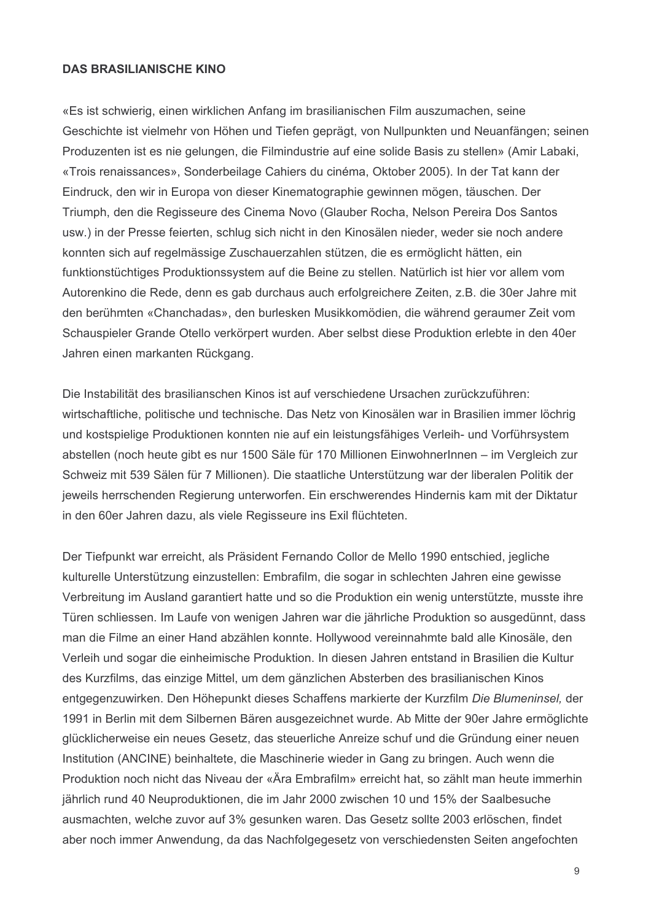## **DAS BRASILIANISCHE KINO**

«Es ist schwierig, einen wirklichen Anfang im brasilianischen Film auszumachen, seine Geschichte ist vielmehr von Höhen und Tiefen geprägt, von Nullpunkten und Neuanfängen; seinen Produzenten ist es nie gelungen, die Filmindustrie auf eine solide Basis zu stellen» (Amir Labaki, «Trois renaissances», Sonderbeilage Cahiers du cinéma, Oktober 2005). In der Tat kann der Eindruck, den wir in Europa von dieser Kinematographie gewinnen mögen, täuschen. Der Triumph, den die Regisseure des Cinema Novo (Glauber Rocha, Nelson Pereira Dos Santos usw.) in der Presse feierten, schlug sich nicht in den Kinosälen nieder, weder sie noch andere konnten sich auf regelmässige Zuschauerzahlen stützen, die es ermöglicht hätten, ein funktionstüchtiges Produktionssystem auf die Beine zu stellen. Natürlich ist hier vor allem vom Autorenkino die Rede, denn es gab durchaus auch erfolgreichere Zeiten, z.B. die 30er Jahre mit den berühmten «Chanchadas», den burlesken Musikkomödien, die während geraumer Zeit vom Schauspieler Grande Otello verkörpert wurden. Aber selbst diese Produktion erlebte in den 40er Jahren einen markanten Rückgang.

Die Instabilität des brasilianschen Kinos ist auf verschiedene Ursachen zurückzuführen: wirtschaftliche, politische und technische. Das Netz von Kinosälen war in Brasilien immer löchrig und kostspielige Produktionen konnten nie auf ein leistungsfähiges Verleih- und Vorführsystem abstellen (noch heute gibt es nur 1500 Säle für 170 Millionen EinwohnerInnen – im Vergleich zur Schweiz mit 539 Sälen für 7 Millionen). Die staatliche Unterstützung war der liberalen Politik der jeweils herrschenden Regierung unterworfen. Ein erschwerendes Hindernis kam mit der Diktatur in den 60er Jahren dazu, als viele Regisseure ins Exil flüchteten.

Der Tiefpunkt war erreicht, als Präsident Fernando Collor de Mello 1990 entschied, jegliche kulturelle Unterstützung einzustellen: Embrafilm, die sogar in schlechten Jahren eine gewisse Verbreitung im Ausland garantiert hatte und so die Produktion ein wenig unterstützte, musste ihre Türen schliessen. Im Laufe von wenigen Jahren war die jährliche Produktion so ausgedünnt, dass man die Filme an einer Hand abzählen konnte. Hollywood vereinnahmte bald alle Kinosäle, den Verleih und sogar die einheimische Produktion. In diesen Jahren entstand in Brasilien die Kultur des Kurzfilms, das einzige Mittel, um dem gänzlichen Absterben des brasilianischen Kinos entgegenzuwirken. Den Höhepunkt dieses Schaffens markierte der Kurzfilm Die Blumeninsel, der 1991 in Berlin mit dem Silbernen Bären ausgezeichnet wurde. Ab Mitte der 90er Jahre ermöglichte glücklicherweise ein neues Gesetz, das steuerliche Anreize schuf und die Gründung einer neuen Institution (ANCINE) beinhaltete, die Maschinerie wieder in Gang zu bringen. Auch wenn die Produktion noch nicht das Niveau der «Ära Embrafilm» erreicht hat, so zählt man heute immerhin jährlich rund 40 Neuproduktionen, die im Jahr 2000 zwischen 10 und 15% der Saalbesuche ausmachten, welche zuvor auf 3% gesunken waren. Das Gesetz sollte 2003 erlöschen, findet aber noch immer Anwendung, da das Nachfolgegesetz von verschiedensten Seiten angefochten